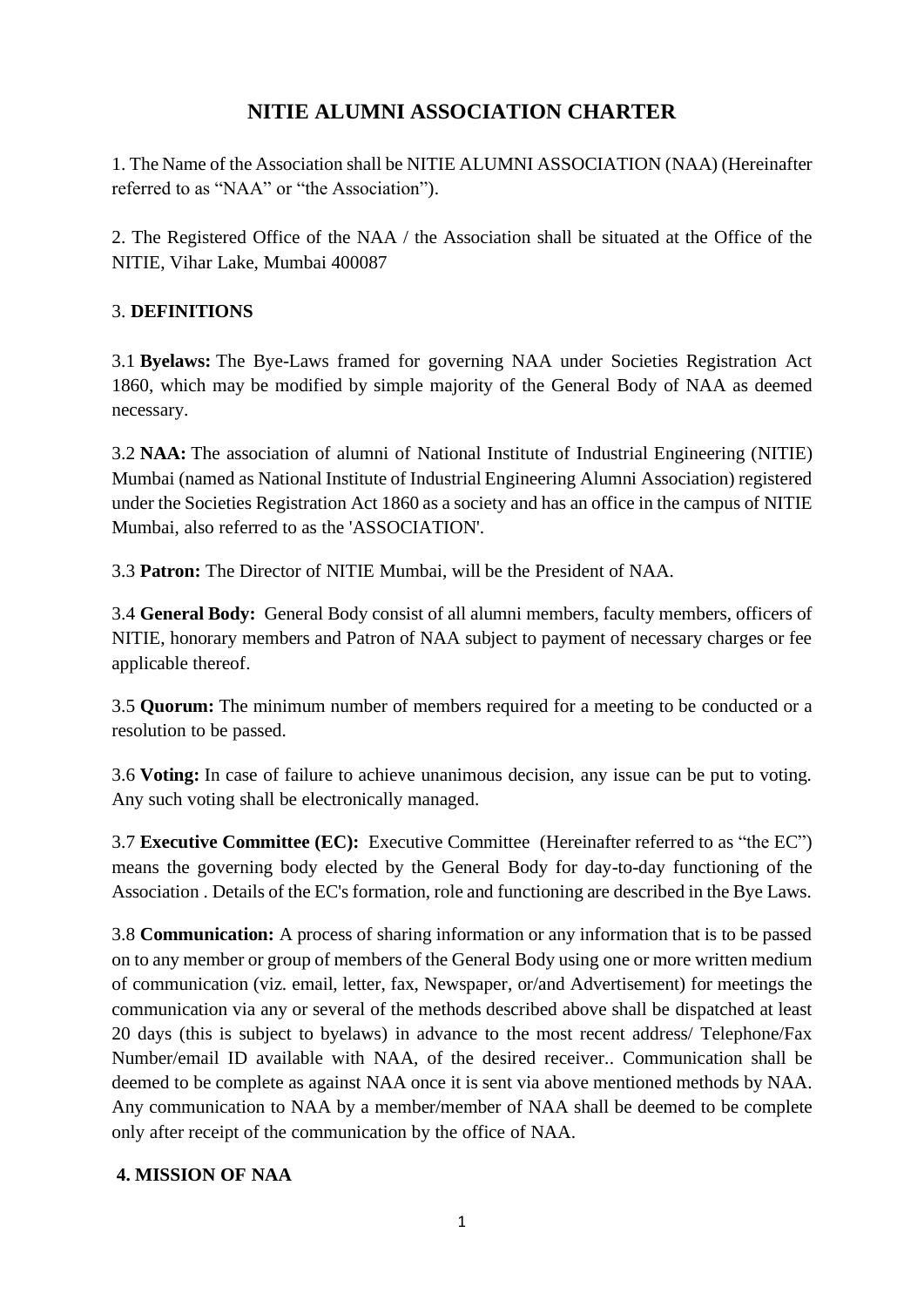# **NITIE ALUMNI ASSOCIATION CHARTER**

1. The Name of the Association shall be NITIE ALUMNI ASSOCIATION (NAA) (Hereinafter referred to as "NAA" or "the Association").

2. The Registered Office of the NAA / the Association shall be situated at the Office of the NITIE, Vihar Lake, Mumbai 400087

## 3. **DEFINITIONS**

3.1 **Byelaws:** The Bye-Laws framed for governing NAA under Societies Registration Act 1860, which may be modified by simple majority of the General Body of NAA as deemed necessary.

3.2 **NAA:** The association of alumni of National Institute of Industrial Engineering (NITIE) Mumbai (named as National Institute of Industrial Engineering Alumni Association) registered under the Societies Registration Act 1860 as a society and has an office in the campus of NITIE Mumbai, also referred to as the 'ASSOCIATION'.

3.3 **Patron:** The Director of NITIE Mumbai, will be the President of NAA.

3.4 **General Body:** General Body consist of all alumni members, faculty members, officers of NITIE, honorary members and Patron of NAA subject to payment of necessary charges or fee applicable thereof.

3.5 **Quorum:** The minimum number of members required for a meeting to be conducted or a resolution to be passed.

3.6 **Voting:** In case of failure to achieve unanimous decision, any issue can be put to voting. Any such voting shall be electronically managed.

3.7 **Executive Committee (EC):** Executive Committee (Hereinafter referred to as "the EC") means the governing body elected by the General Body for day-to-day functioning of the Association . Details of the EC's formation, role and functioning are described in the Bye Laws.

3.8 **Communication:** A process of sharing information or any information that is to be passed on to any member or group of members of the General Body using one or more written medium of communication (viz. email, letter, fax, Newspaper, or/and Advertisement) for meetings the communication via any or several of the methods described above shall be dispatched at least 20 days (this is subject to byelaws) in advance to the most recent address/ Telephone/Fax Number/email ID available with NAA, of the desired receiver.. Communication shall be deemed to be complete as against NAA once it is sent via above mentioned methods by NAA. Any communication to NAA by a member/member of NAA shall be deemed to be complete only after receipt of the communication by the office of NAA.

#### **4. MISSION OF NAA**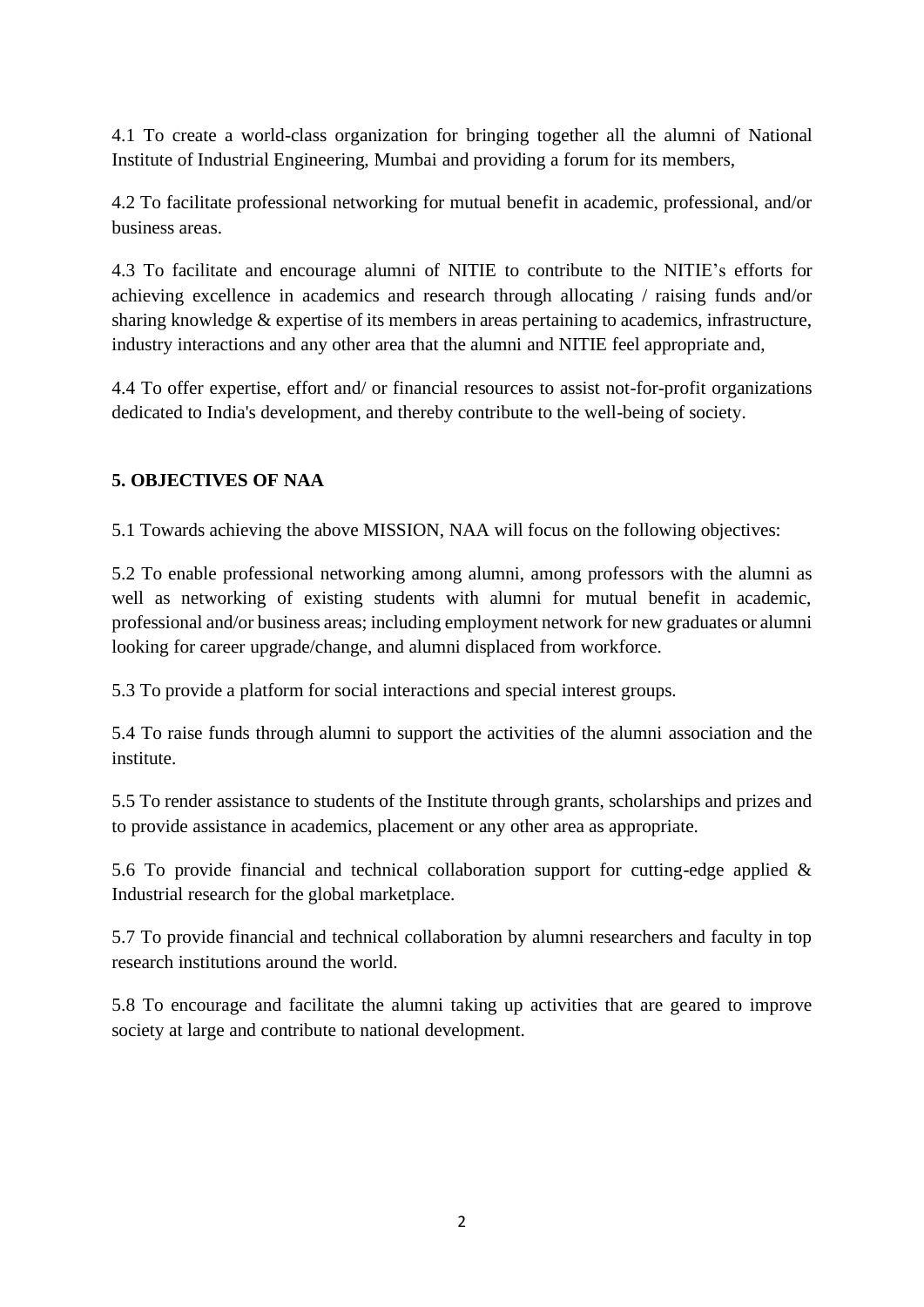4.1 To create a world-class organization for bringing together all the alumni of National Institute of Industrial Engineering, Mumbai and providing a forum for its members,

4.2 To facilitate professional networking for mutual benefit in academic, professional, and/or business areas.

4.3 To facilitate and encourage alumni of NITIE to contribute to the NITIE's efforts for achieving excellence in academics and research through allocating / raising funds and/or sharing knowledge & expertise of its members in areas pertaining to academics, infrastructure, industry interactions and any other area that the alumni and NITIE feel appropriate and,

4.4 To offer expertise, effort and/ or financial resources to assist not-for-profit organizations dedicated to India's development, and thereby contribute to the well-being of society.

#### **5. OBJECTIVES OF NAA**

5.1 Towards achieving the above MISSION, NAA will focus on the following objectives:

5.2 To enable professional networking among alumni, among professors with the alumni as well as networking of existing students with alumni for mutual benefit in academic, professional and/or business areas; including employment network for new graduates or alumni looking for career upgrade/change, and alumni displaced from workforce.

5.3 To provide a platform for social interactions and special interest groups.

5.4 To raise funds through alumni to support the activities of the alumni association and the institute.

5.5 To render assistance to students of the Institute through grants, scholarships and prizes and to provide assistance in academics, placement or any other area as appropriate.

5.6 To provide financial and technical collaboration support for cutting-edge applied  $\&$ Industrial research for the global marketplace.

5.7 To provide financial and technical collaboration by alumni researchers and faculty in top research institutions around the world.

5.8 To encourage and facilitate the alumni taking up activities that are geared to improve society at large and contribute to national development.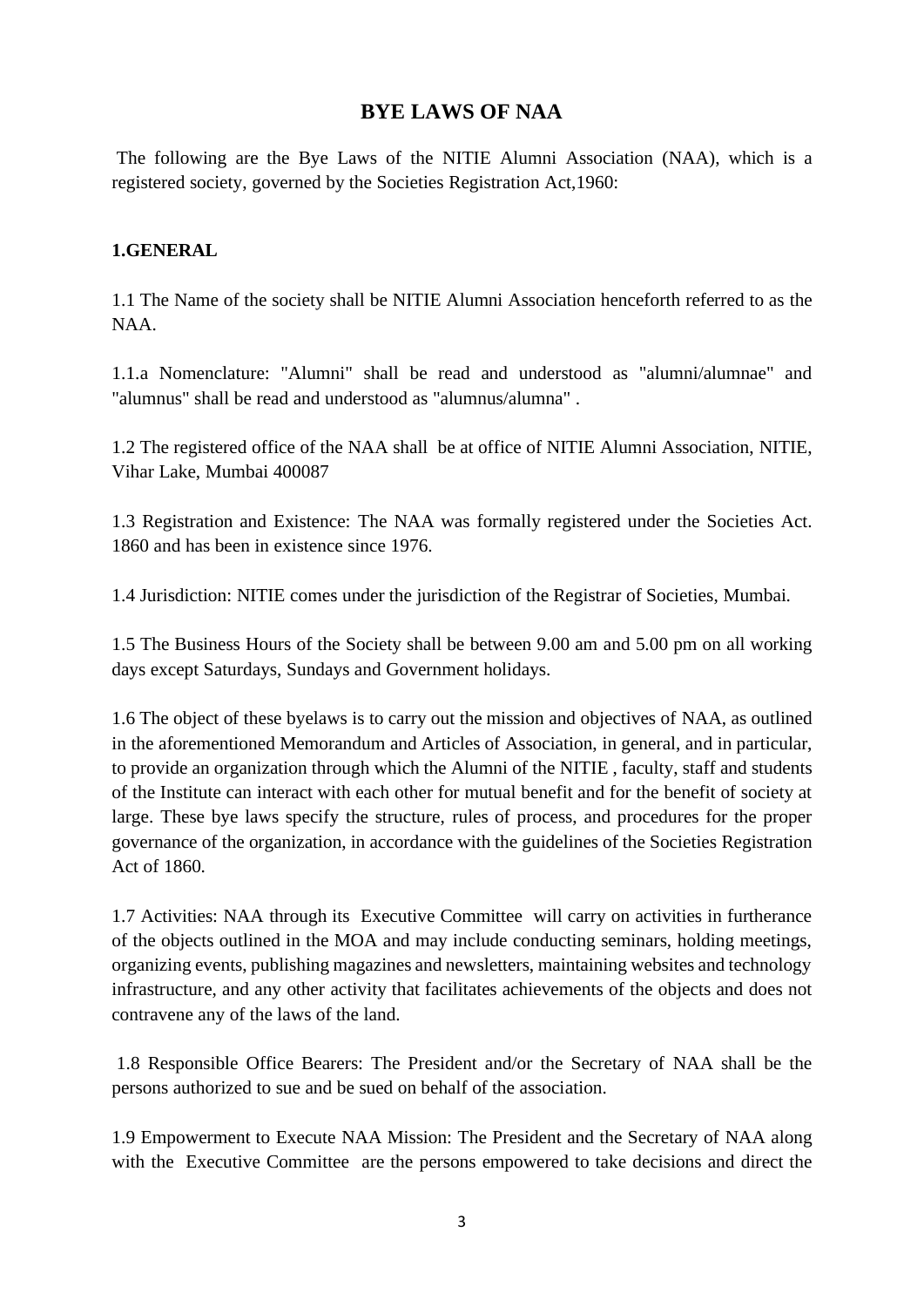# **BYE LAWS OF NAA**

The following are the Bye Laws of the NITIE Alumni Association (NAA), which is a registered society, governed by the Societies Registration Act,1960:

#### **1.GENERAL**

1.1 The Name of the society shall be NITIE Alumni Association henceforth referred to as the NAA.

1.1.a Nomenclature: "Alumni" shall be read and understood as "alumni/alumnae" and "alumnus" shall be read and understood as "alumnus/alumna" .

1.2 The registered office of the NAA shall be at office of NITIE Alumni Association, NITIE, Vihar Lake, Mumbai 400087

1.3 Registration and Existence: The NAA was formally registered under the Societies Act. 1860 and has been in existence since 1976.

1.4 Jurisdiction: NITIE comes under the jurisdiction of the Registrar of Societies, Mumbai.

1.5 The Business Hours of the Society shall be between 9.00 am and 5.00 pm on all working days except Saturdays, Sundays and Government holidays.

1.6 The object of these byelaws is to carry out the mission and objectives of NAA, as outlined in the aforementioned Memorandum and Articles of Association, in general, and in particular, to provide an organization through which the Alumni of the NITIE , faculty, staff and students of the Institute can interact with each other for mutual benefit and for the benefit of society at large. These bye laws specify the structure, rules of process, and procedures for the proper governance of the organization, in accordance with the guidelines of the Societies Registration Act of 1860.

1.7 Activities: NAA through its Executive Committee will carry on activities in furtherance of the objects outlined in the MOA and may include conducting seminars, holding meetings, organizing events, publishing magazines and newsletters, maintaining websites and technology infrastructure, and any other activity that facilitates achievements of the objects and does not contravene any of the laws of the land.

1.8 Responsible Office Bearers: The President and/or the Secretary of NAA shall be the persons authorized to sue and be sued on behalf of the association.

1.9 Empowerment to Execute NAA Mission: The President and the Secretary of NAA along with the Executive Committee are the persons empowered to take decisions and direct the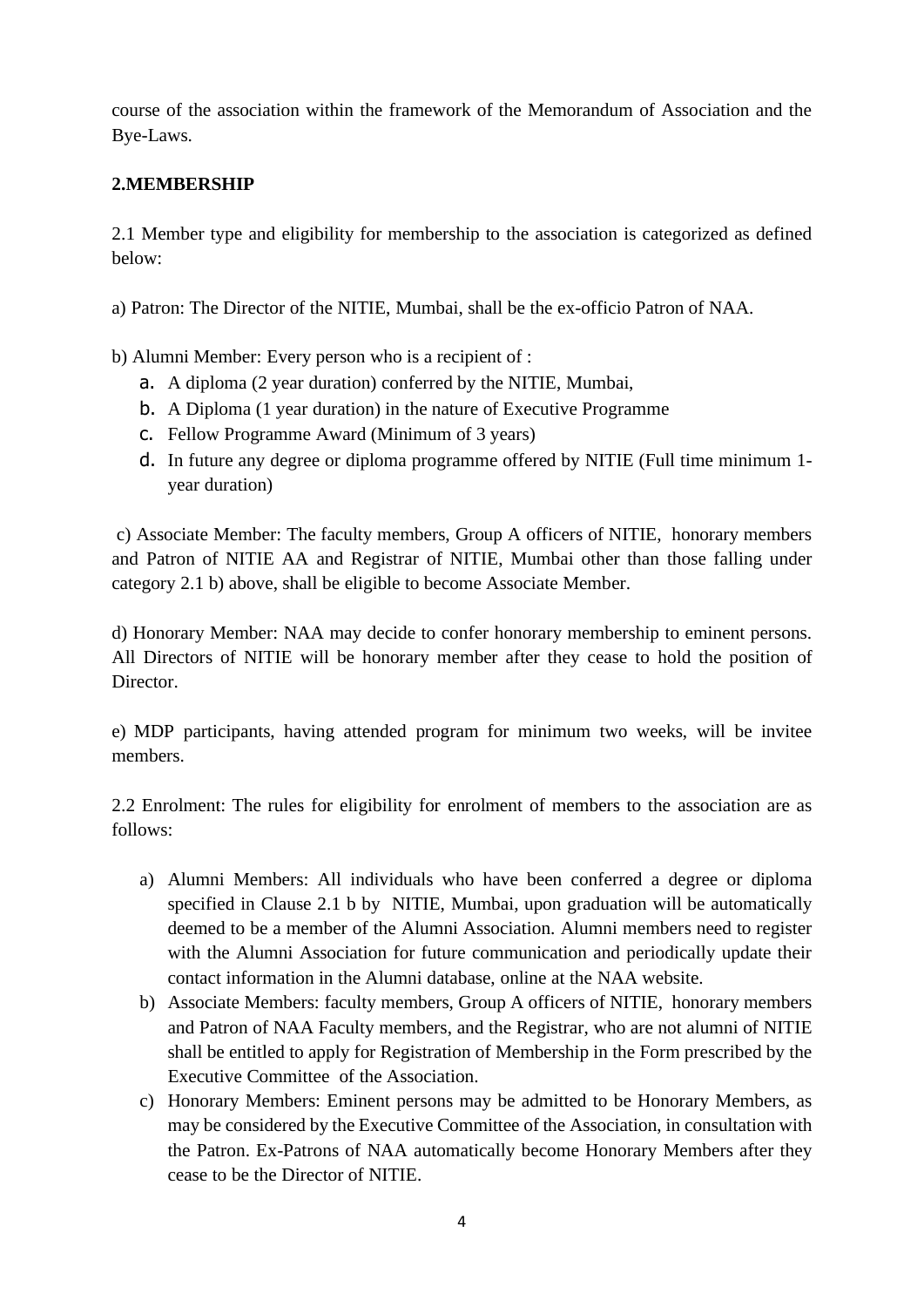course of the association within the framework of the Memorandum of Association and the Bye-Laws.

#### **2.MEMBERSHIP**

2.1 Member type and eligibility for membership to the association is categorized as defined below:

a) Patron: The Director of the NITIE, Mumbai, shall be the ex-officio Patron of NAA.

b) Alumni Member: Every person who is a recipient of :

- a. A diploma (2 year duration) conferred by the NITIE, Mumbai,
- b. A Diploma (1 year duration) in the nature of Executive Programme
- c. Fellow Programme Award (Minimum of 3 years)
- d. In future any degree or diploma programme offered by NITIE (Full time minimum 1 year duration)

c) Associate Member: The faculty members, Group A officers of NITIE, honorary members and Patron of NITIE AA and Registrar of NITIE, Mumbai other than those falling under category 2.1 b) above, shall be eligible to become Associate Member.

d) Honorary Member: NAA may decide to confer honorary membership to eminent persons. All Directors of NITIE will be honorary member after they cease to hold the position of Director.

e) MDP participants, having attended program for minimum two weeks, will be invitee members.

2.2 Enrolment: The rules for eligibility for enrolment of members to the association are as follows:

- a) Alumni Members: All individuals who have been conferred a degree or diploma specified in Clause 2.1 b by NITIE, Mumbai, upon graduation will be automatically deemed to be a member of the Alumni Association. Alumni members need to register with the Alumni Association for future communication and periodically update their contact information in the Alumni database, online at the NAA website.
- b) Associate Members: faculty members, Group A officers of NITIE, honorary members and Patron of NAA Faculty members, and the Registrar, who are not alumni of NITIE shall be entitled to apply for Registration of Membership in the Form prescribed by the Executive Committee of the Association.
- c) Honorary Members: Eminent persons may be admitted to be Honorary Members, as may be considered by the Executive Committee of the Association, in consultation with the Patron. Ex-Patrons of NAA automatically become Honorary Members after they cease to be the Director of NITIE.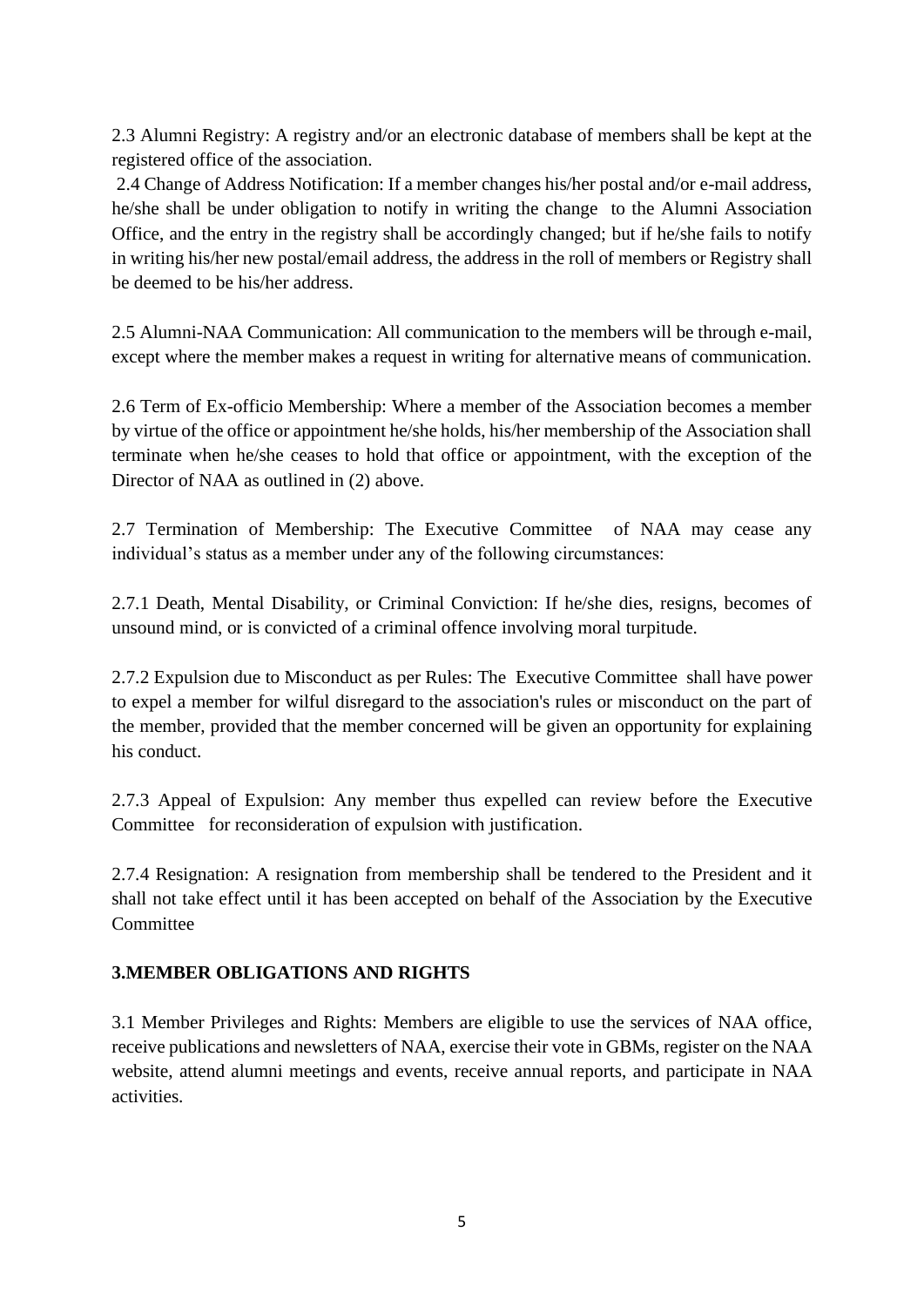2.3 Alumni Registry: A registry and/or an electronic database of members shall be kept at the registered office of the association.

2.4 Change of Address Notification: If a member changes his/her postal and/or e-mail address, he/she shall be under obligation to notify in writing the change to the Alumni Association Office, and the entry in the registry shall be accordingly changed; but if he/she fails to notify in writing his/her new postal/email address, the address in the roll of members or Registry shall be deemed to be his/her address.

2.5 Alumni-NAA Communication: All communication to the members will be through e-mail, except where the member makes a request in writing for alternative means of communication.

2.6 Term of Ex-officio Membership: Where a member of the Association becomes a member by virtue of the office or appointment he/she holds, his/her membership of the Association shall terminate when he/she ceases to hold that office or appointment, with the exception of the Director of NAA as outlined in (2) above.

2.7 Termination of Membership: The Executive Committee of NAA may cease any individual's status as a member under any of the following circumstances:

2.7.1 Death, Mental Disability, or Criminal Conviction: If he/she dies, resigns, becomes of unsound mind, or is convicted of a criminal offence involving moral turpitude.

2.7.2 Expulsion due to Misconduct as per Rules: The Executive Committee shall have power to expel a member for wilful disregard to the association's rules or misconduct on the part of the member, provided that the member concerned will be given an opportunity for explaining his conduct.

2.7.3 Appeal of Expulsion: Any member thus expelled can review before the Executive Committee for reconsideration of expulsion with justification.

2.7.4 Resignation: A resignation from membership shall be tendered to the President and it shall not take effect until it has been accepted on behalf of the Association by the Executive Committee

#### **3.MEMBER OBLIGATIONS AND RIGHTS**

3.1 Member Privileges and Rights: Members are eligible to use the services of NAA office, receive publications and newsletters of NAA, exercise their vote in GBMs, register on the NAA website, attend alumni meetings and events, receive annual reports, and participate in NAA activities.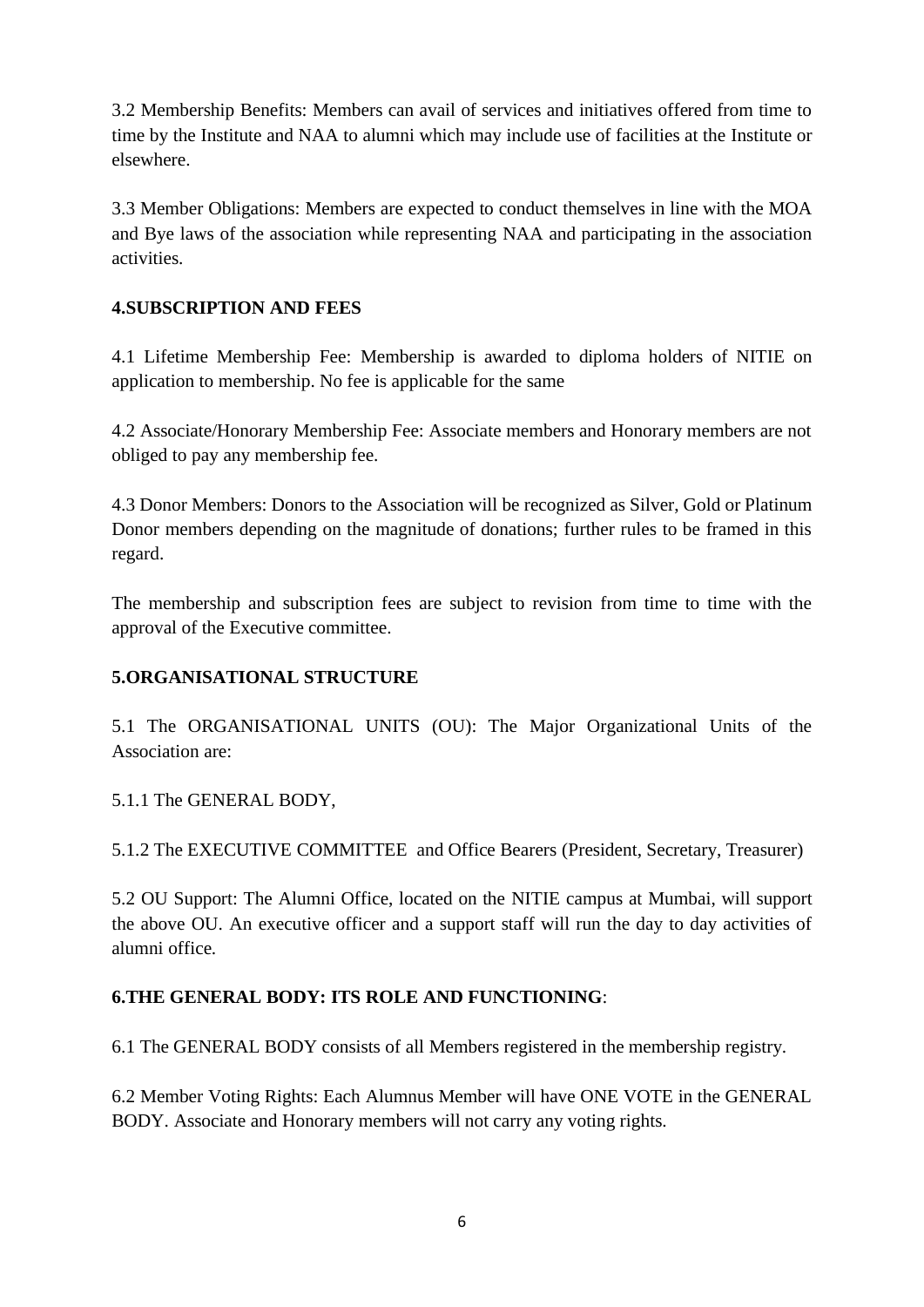3.2 Membership Benefits: Members can avail of services and initiatives offered from time to time by the Institute and NAA to alumni which may include use of facilities at the Institute or elsewhere.

3.3 Member Obligations: Members are expected to conduct themselves in line with the MOA and Bye laws of the association while representing NAA and participating in the association activities.

## **4.SUBSCRIPTION AND FEES**

4.1 Lifetime Membership Fee: Membership is awarded to diploma holders of NITIE on application to membership. No fee is applicable for the same

4.2 Associate/Honorary Membership Fee: Associate members and Honorary members are not obliged to pay any membership fee.

4.3 Donor Members: Donors to the Association will be recognized as Silver, Gold or Platinum Donor members depending on the magnitude of donations; further rules to be framed in this regard.

The membership and subscription fees are subject to revision from time to time with the approval of the Executive committee.

## **5.ORGANISATIONAL STRUCTURE**

5.1 The ORGANISATIONAL UNITS (OU): The Major Organizational Units of the Association are:

5.1.1 The GENERAL BODY,

5.1.2 The EXECUTIVE COMMITTEE and Office Bearers (President, Secretary, Treasurer)

5.2 OU Support: The Alumni Office, located on the NITIE campus at Mumbai, will support the above OU. An executive officer and a support staff will run the day to day activities of alumni office.

## **6.THE GENERAL BODY: ITS ROLE AND FUNCTIONING**:

6.1 The GENERAL BODY consists of all Members registered in the membership registry.

6.2 Member Voting Rights: Each Alumnus Member will have ONE VOTE in the GENERAL BODY. Associate and Honorary members will not carry any voting rights.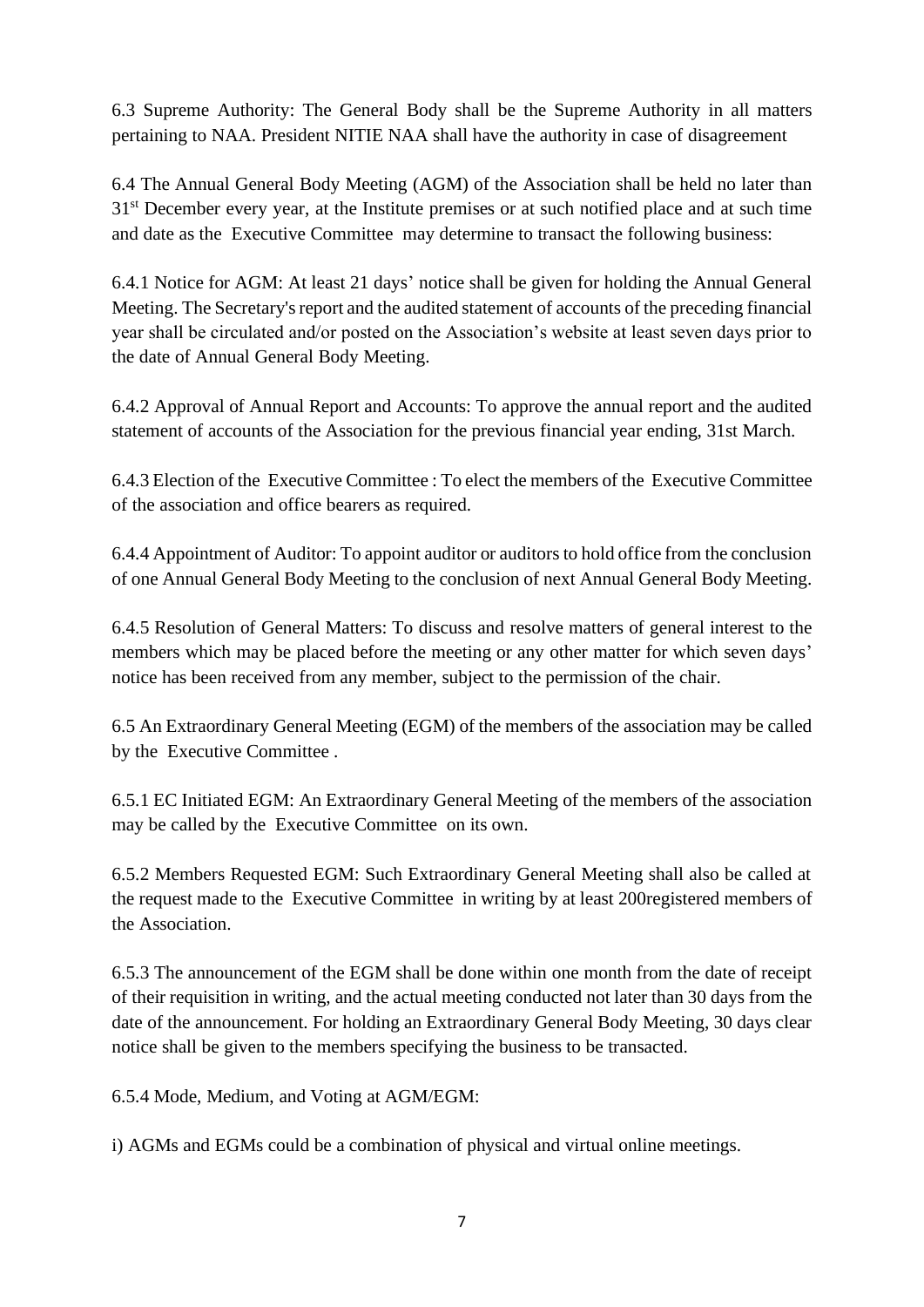6.3 Supreme Authority: The General Body shall be the Supreme Authority in all matters pertaining to NAA. President NITIE NAA shall have the authority in case of disagreement

6.4 The Annual General Body Meeting (AGM) of the Association shall be held no later than 31<sup>st</sup> December every year, at the Institute premises or at such notified place and at such time and date as the Executive Committee may determine to transact the following business:

6.4.1 Notice for AGM: At least 21 days' notice shall be given for holding the Annual General Meeting. The Secretary's report and the audited statement of accounts of the preceding financial year shall be circulated and/or posted on the Association's website at least seven days prior to the date of Annual General Body Meeting.

6.4.2 Approval of Annual Report and Accounts: To approve the annual report and the audited statement of accounts of the Association for the previous financial year ending, 31st March.

6.4.3 Election of the Executive Committee : To elect the members of the Executive Committee of the association and office bearers as required.

6.4.4 Appointment of Auditor: To appoint auditor or auditors to hold office from the conclusion of one Annual General Body Meeting to the conclusion of next Annual General Body Meeting.

6.4.5 Resolution of General Matters: To discuss and resolve matters of general interest to the members which may be placed before the meeting or any other matter for which seven days' notice has been received from any member, subject to the permission of the chair.

6.5 An Extraordinary General Meeting (EGM) of the members of the association may be called by the Executive Committee .

6.5.1 EC Initiated EGM: An Extraordinary General Meeting of the members of the association may be called by the Executive Committee on its own.

6.5.2 Members Requested EGM: Such Extraordinary General Meeting shall also be called at the request made to the Executive Committee in writing by at least 200registered members of the Association.

6.5.3 The announcement of the EGM shall be done within one month from the date of receipt of their requisition in writing, and the actual meeting conducted not later than 30 days from the date of the announcement. For holding an Extraordinary General Body Meeting, 30 days clear notice shall be given to the members specifying the business to be transacted.

6.5.4 Mode, Medium, and Voting at AGM/EGM:

i) AGMs and EGMs could be a combination of physical and virtual online meetings.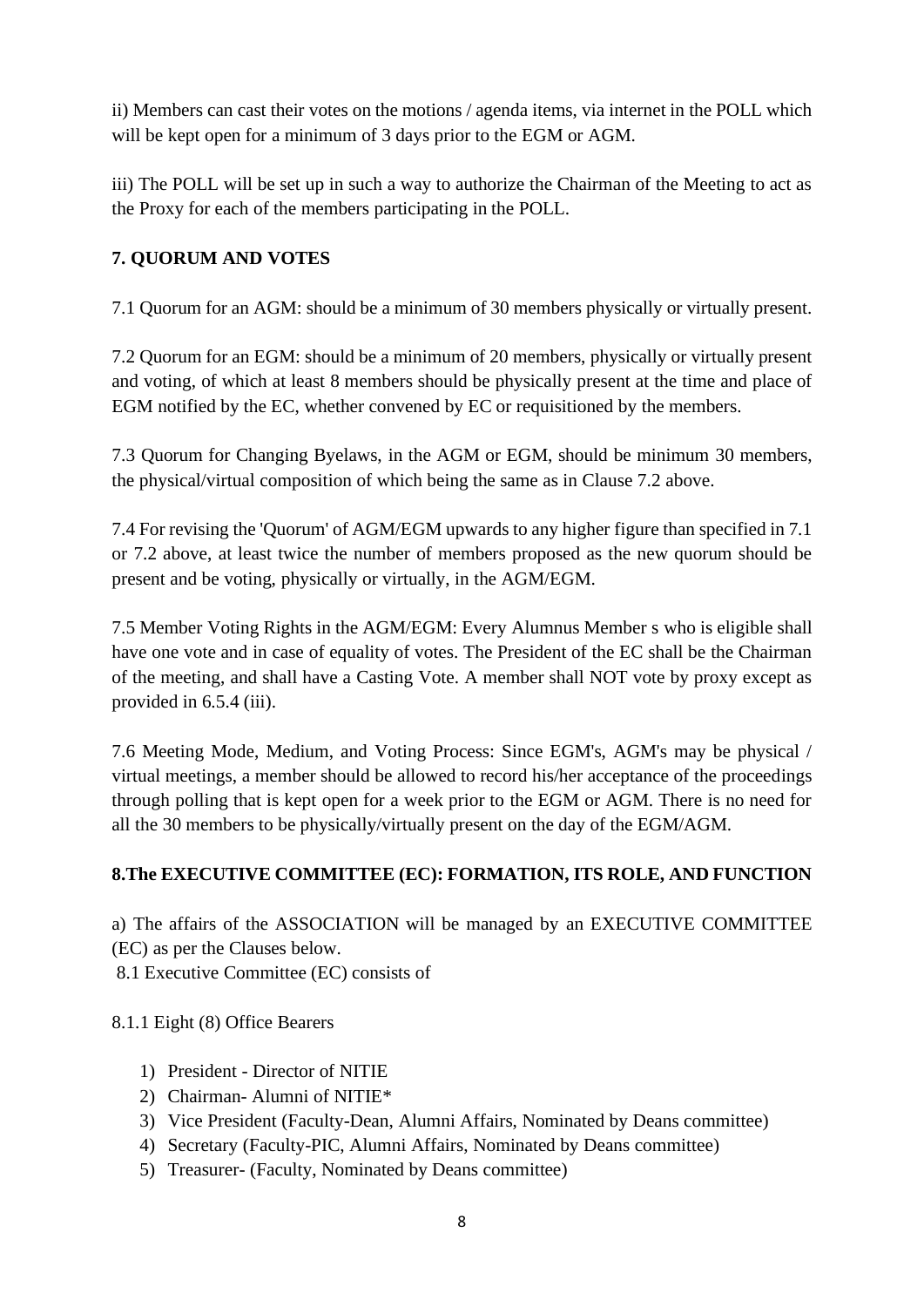ii) Members can cast their votes on the motions / agenda items, via internet in the POLL which will be kept open for a minimum of 3 days prior to the EGM or AGM.

iii) The POLL will be set up in such a way to authorize the Chairman of the Meeting to act as the Proxy for each of the members participating in the POLL.

## **7. QUORUM AND VOTES**

7.1 Quorum for an AGM: should be a minimum of 30 members physically or virtually present.

7.2 Quorum for an EGM: should be a minimum of 20 members, physically or virtually present and voting, of which at least 8 members should be physically present at the time and place of EGM notified by the EC, whether convened by EC or requisitioned by the members.

7.3 Quorum for Changing Byelaws, in the AGM or EGM, should be minimum 30 members, the physical/virtual composition of which being the same as in Clause 7.2 above.

7.4 For revising the 'Quorum' of AGM/EGM upwards to any higher figure than specified in 7.1 or 7.2 above, at least twice the number of members proposed as the new quorum should be present and be voting, physically or virtually, in the AGM/EGM.

7.5 Member Voting Rights in the AGM/EGM: Every Alumnus Member s who is eligible shall have one vote and in case of equality of votes. The President of the EC shall be the Chairman of the meeting, and shall have a Casting Vote. A member shall NOT vote by proxy except as provided in 6.5.4 (iii).

7.6 Meeting Mode, Medium, and Voting Process: Since EGM's, AGM's may be physical / virtual meetings, a member should be allowed to record his/her acceptance of the proceedings through polling that is kept open for a week prior to the EGM or AGM. There is no need for all the 30 members to be physically/virtually present on the day of the EGM/AGM.

## **8.The EXECUTIVE COMMITTEE (EC): FORMATION, ITS ROLE, AND FUNCTION**

a) The affairs of the ASSOCIATION will be managed by an EXECUTIVE COMMITTEE (EC) as per the Clauses below.

8.1 Executive Committee (EC) consists of

8.1.1 Eight (8) Office Bearers

- 1) President Director of NITIE
- 2) Chairman- Alumni of NITIE\*
- 3) Vice President (Faculty-Dean, Alumni Affairs, Nominated by Deans committee)
- 4) Secretary (Faculty-PIC, Alumni Affairs, Nominated by Deans committee)
- 5) Treasurer- (Faculty, Nominated by Deans committee)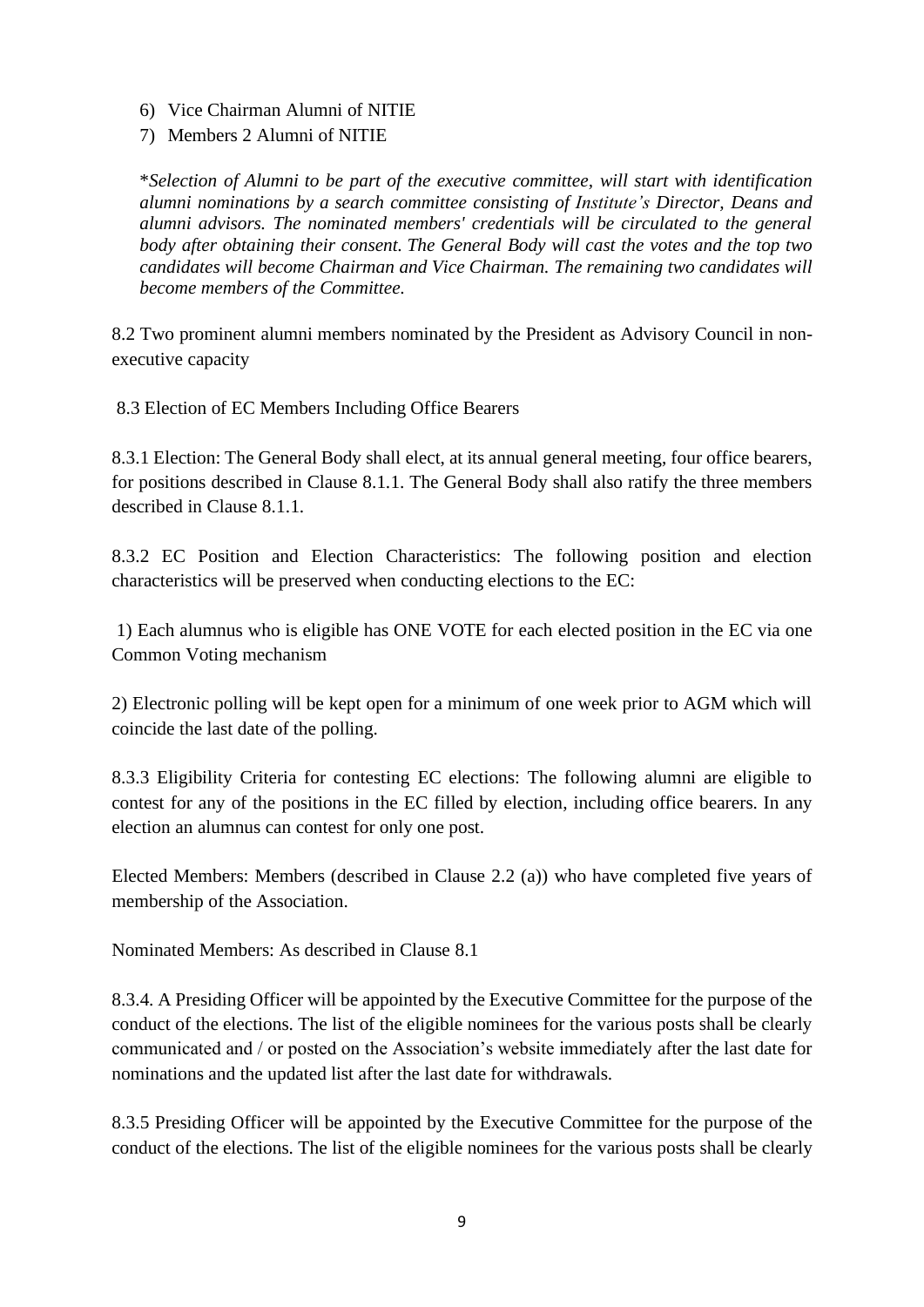- 6) Vice Chairman Alumni of NITIE
- 7) Members 2 Alumni of NITIE

\**Selection of Alumni to be part of the executive committee, will start with identification alumni nominations by a search committee consisting of Institute's Director, Deans and alumni advisors. The nominated members' credentials will be circulated to the general body after obtaining their consent. The General Body will cast the votes and the top two candidates will become Chairman and Vice Chairman. The remaining two candidates will become members of the Committee.*

8.2 Two prominent alumni members nominated by the President as Advisory Council in nonexecutive capacity

8.3 Election of EC Members Including Office Bearers

8.3.1 Election: The General Body shall elect, at its annual general meeting, four office bearers, for positions described in Clause 8.1.1. The General Body shall also ratify the three members described in Clause 8.1.1.

8.3.2 EC Position and Election Characteristics: The following position and election characteristics will be preserved when conducting elections to the EC:

1) Each alumnus who is eligible has ONE VOTE for each elected position in the EC via one Common Voting mechanism

2) Electronic polling will be kept open for a minimum of one week prior to AGM which will coincide the last date of the polling.

8.3.3 Eligibility Criteria for contesting EC elections: The following alumni are eligible to contest for any of the positions in the EC filled by election, including office bearers. In any election an alumnus can contest for only one post.

Elected Members: Members (described in Clause 2.2 (a)) who have completed five years of membership of the Association.

Nominated Members: As described in Clause 8.1

8.3.4. A Presiding Officer will be appointed by the Executive Committee for the purpose of the conduct of the elections. The list of the eligible nominees for the various posts shall be clearly communicated and / or posted on the Association's website immediately after the last date for nominations and the updated list after the last date for withdrawals.

8.3.5 Presiding Officer will be appointed by the Executive Committee for the purpose of the conduct of the elections. The list of the eligible nominees for the various posts shall be clearly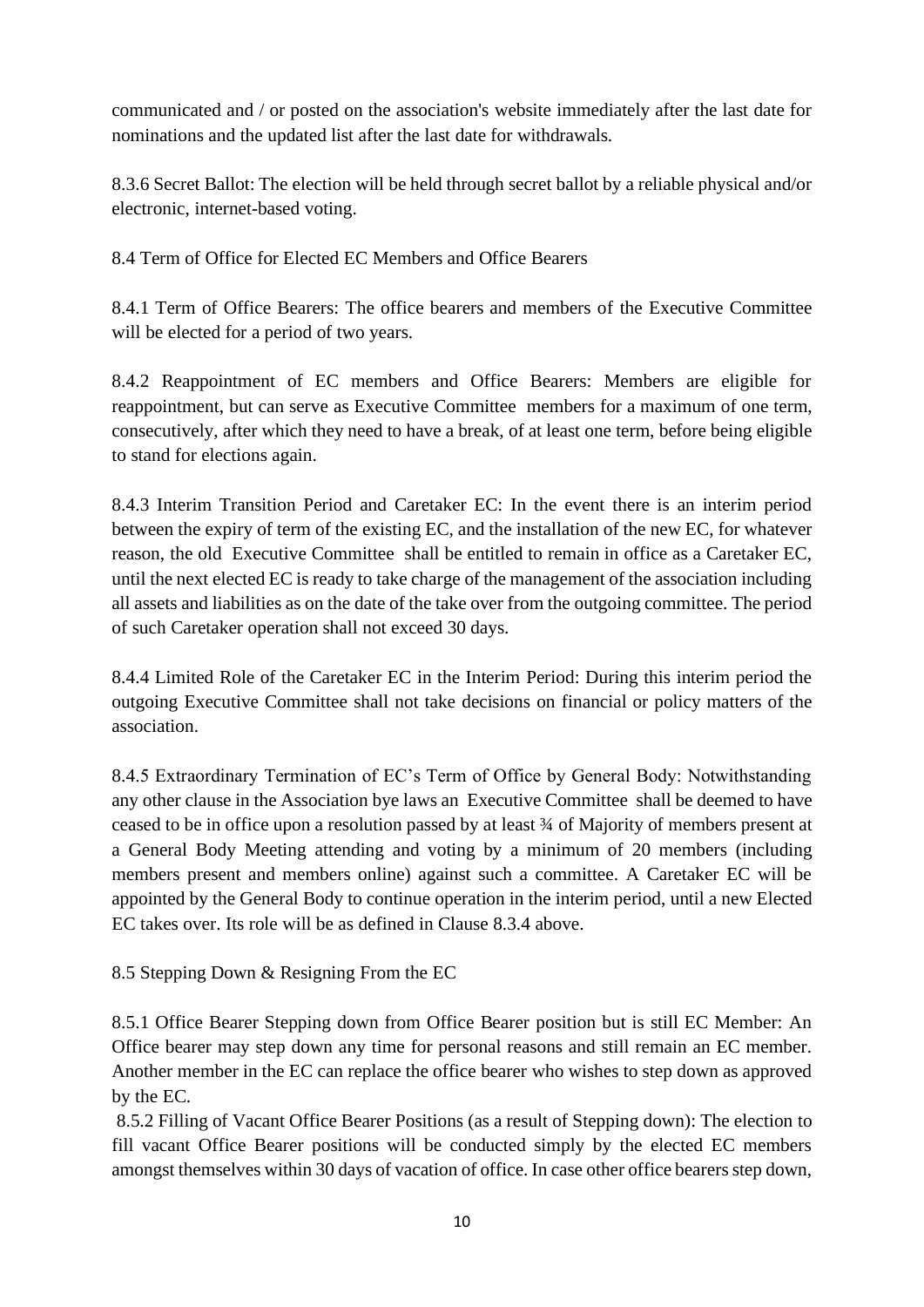communicated and / or posted on the association's website immediately after the last date for nominations and the updated list after the last date for withdrawals.

8.3.6 Secret Ballot: The election will be held through secret ballot by a reliable physical and/or electronic, internet-based voting.

8.4 Term of Office for Elected EC Members and Office Bearers

8.4.1 Term of Office Bearers: The office bearers and members of the Executive Committee will be elected for a period of two years.

8.4.2 Reappointment of EC members and Office Bearers: Members are eligible for reappointment, but can serve as Executive Committee members for a maximum of one term, consecutively, after which they need to have a break, of at least one term, before being eligible to stand for elections again.

8.4.3 Interim Transition Period and Caretaker EC: In the event there is an interim period between the expiry of term of the existing EC, and the installation of the new EC, for whatever reason, the old Executive Committee shall be entitled to remain in office as a Caretaker EC, until the next elected EC is ready to take charge of the management of the association including all assets and liabilities as on the date of the take over from the outgoing committee. The period of such Caretaker operation shall not exceed 30 days.

8.4.4 Limited Role of the Caretaker EC in the Interim Period: During this interim period the outgoing Executive Committee shall not take decisions on financial or policy matters of the association.

8.4.5 Extraordinary Termination of EC's Term of Office by General Body: Notwithstanding any other clause in the Association bye laws an Executive Committee shall be deemed to have ceased to be in office upon a resolution passed by at least ¾ of Majority of members present at a General Body Meeting attending and voting by a minimum of 20 members (including members present and members online) against such a committee. A Caretaker EC will be appointed by the General Body to continue operation in the interim period, until a new Elected EC takes over. Its role will be as defined in Clause 8.3.4 above.

8.5 Stepping Down & Resigning From the EC

8.5.1 Office Bearer Stepping down from Office Bearer position but is still EC Member: An Office bearer may step down any time for personal reasons and still remain an EC member. Another member in the EC can replace the office bearer who wishes to step down as approved by the EC.

8.5.2 Filling of Vacant Office Bearer Positions (as a result of Stepping down): The election to fill vacant Office Bearer positions will be conducted simply by the elected EC members amongst themselves within 30 days of vacation of office. In case other office bearers step down,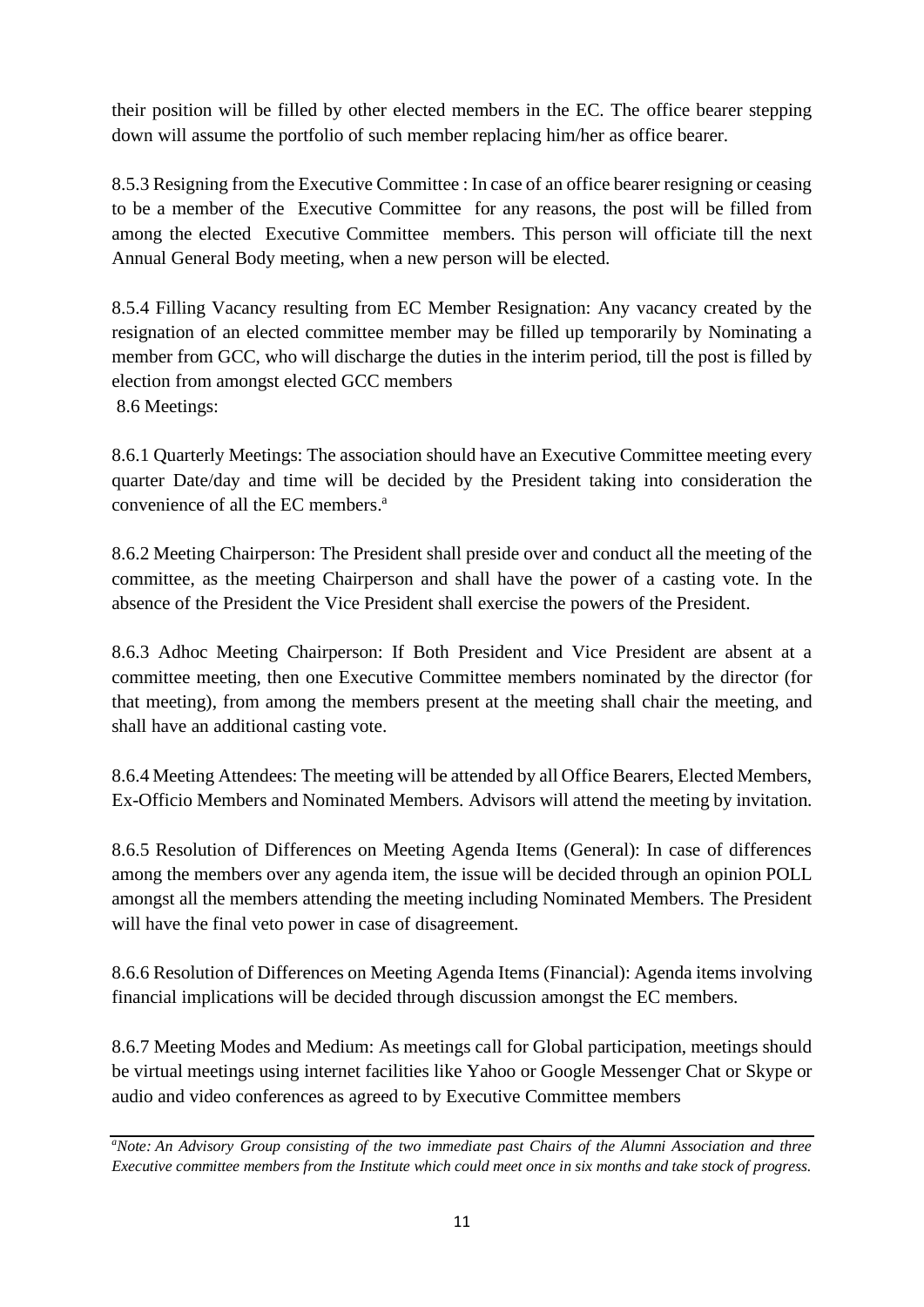their position will be filled by other elected members in the EC. The office bearer stepping down will assume the portfolio of such member replacing him/her as office bearer.

8.5.3 Resigning from the Executive Committee : In case of an office bearer resigning or ceasing to be a member of the Executive Committee for any reasons, the post will be filled from among the elected Executive Committee members. This person will officiate till the next Annual General Body meeting, when a new person will be elected.

8.5.4 Filling Vacancy resulting from EC Member Resignation: Any vacancy created by the resignation of an elected committee member may be filled up temporarily by Nominating a member from GCC, who will discharge the duties in the interim period, till the post is filled by election from amongst elected GCC members 8.6 Meetings:

8.6.1 Quarterly Meetings: The association should have an Executive Committee meeting every quarter Date/day and time will be decided by the President taking into consideration the convenience of all the EC members. a

8.6.2 Meeting Chairperson: The President shall preside over and conduct all the meeting of the committee, as the meeting Chairperson and shall have the power of a casting vote. In the absence of the President the Vice President shall exercise the powers of the President.

8.6.3 Adhoc Meeting Chairperson: If Both President and Vice President are absent at a committee meeting, then one Executive Committee members nominated by the director (for that meeting), from among the members present at the meeting shall chair the meeting, and shall have an additional casting vote.

8.6.4 Meeting Attendees: The meeting will be attended by all Office Bearers, Elected Members, Ex-Officio Members and Nominated Members. Advisors will attend the meeting by invitation.

8.6.5 Resolution of Differences on Meeting Agenda Items (General): In case of differences among the members over any agenda item, the issue will be decided through an opinion POLL amongst all the members attending the meeting including Nominated Members. The President will have the final veto power in case of disagreement.

8.6.6 Resolution of Differences on Meeting Agenda Items (Financial): Agenda items involving financial implications will be decided through discussion amongst the EC members.

8.6.7 Meeting Modes and Medium: As meetings call for Global participation, meetings should be virtual meetings using internet facilities like Yahoo or Google Messenger Chat or Skype or audio and video conferences as agreed to by Executive Committee members

*<sup>a</sup>Note: An Advisory Group consisting of the two immediate past Chairs of the Alumni Association and three Executive committee members from the Institute which could meet once in six months and take stock of progress.*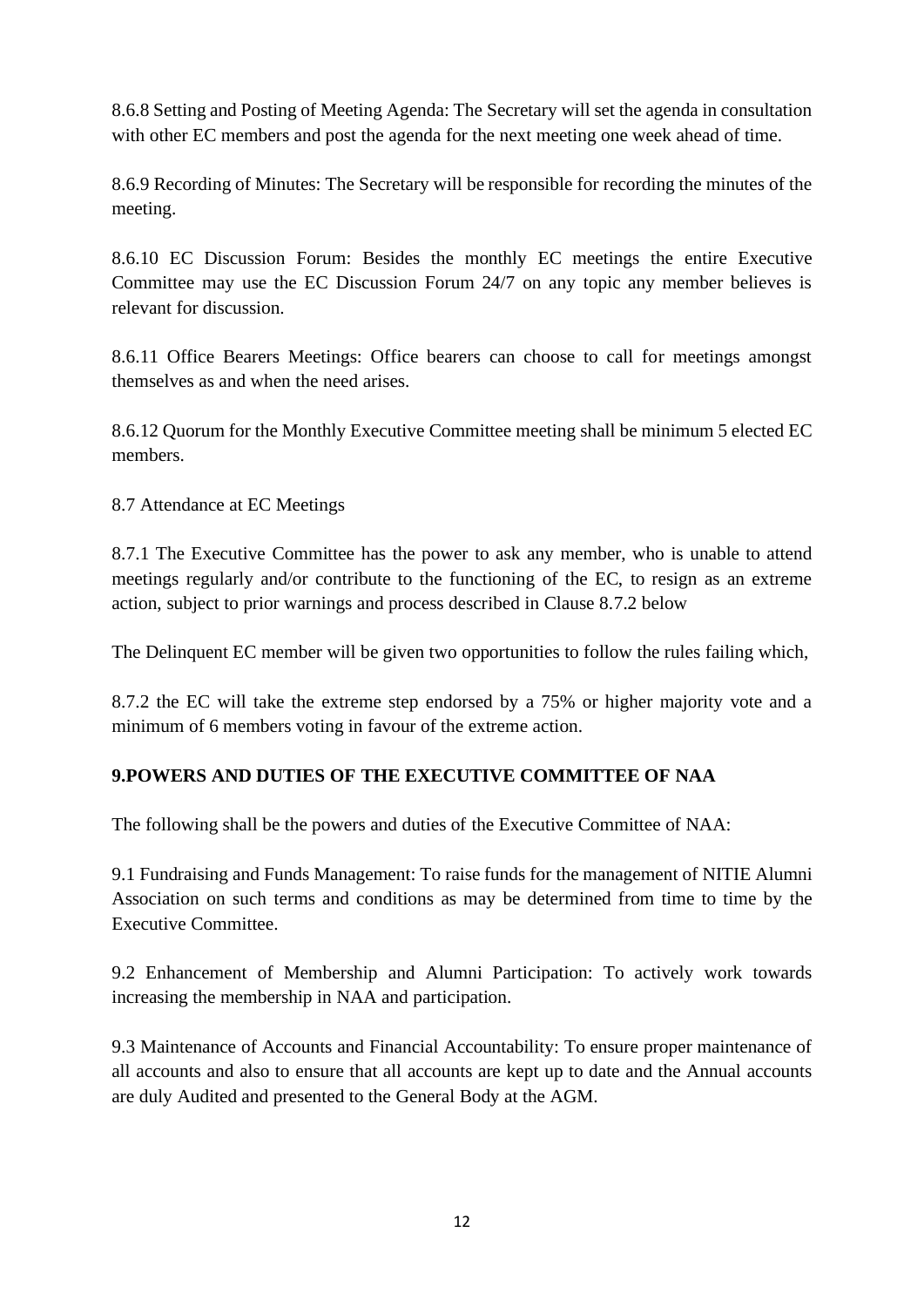8.6.8 Setting and Posting of Meeting Agenda: The Secretary will set the agenda in consultation with other EC members and post the agenda for the next meeting one week ahead of time.

8.6.9 Recording of Minutes: The Secretary will be responsible for recording the minutes of the meeting.

8.6.10 EC Discussion Forum: Besides the monthly EC meetings the entire Executive Committee may use the EC Discussion Forum 24/7 on any topic any member believes is relevant for discussion.

8.6.11 Office Bearers Meetings: Office bearers can choose to call for meetings amongst themselves as and when the need arises.

8.6.12 Quorum for the Monthly Executive Committee meeting shall be minimum 5 elected EC members.

8.7 Attendance at EC Meetings

8.7.1 The Executive Committee has the power to ask any member, who is unable to attend meetings regularly and/or contribute to the functioning of the EC, to resign as an extreme action, subject to prior warnings and process described in Clause 8.7.2 below

The Delinquent EC member will be given two opportunities to follow the rules failing which,

8.7.2 the EC will take the extreme step endorsed by a 75% or higher majority vote and a minimum of 6 members voting in favour of the extreme action.

## **9.POWERS AND DUTIES OF THE EXECUTIVE COMMITTEE OF NAA**

The following shall be the powers and duties of the Executive Committee of NAA:

9.1 Fundraising and Funds Management: To raise funds for the management of NITIE Alumni Association on such terms and conditions as may be determined from time to time by the Executive Committee.

9.2 Enhancement of Membership and Alumni Participation: To actively work towards increasing the membership in NAA and participation.

9.3 Maintenance of Accounts and Financial Accountability: To ensure proper maintenance of all accounts and also to ensure that all accounts are kept up to date and the Annual accounts are duly Audited and presented to the General Body at the AGM.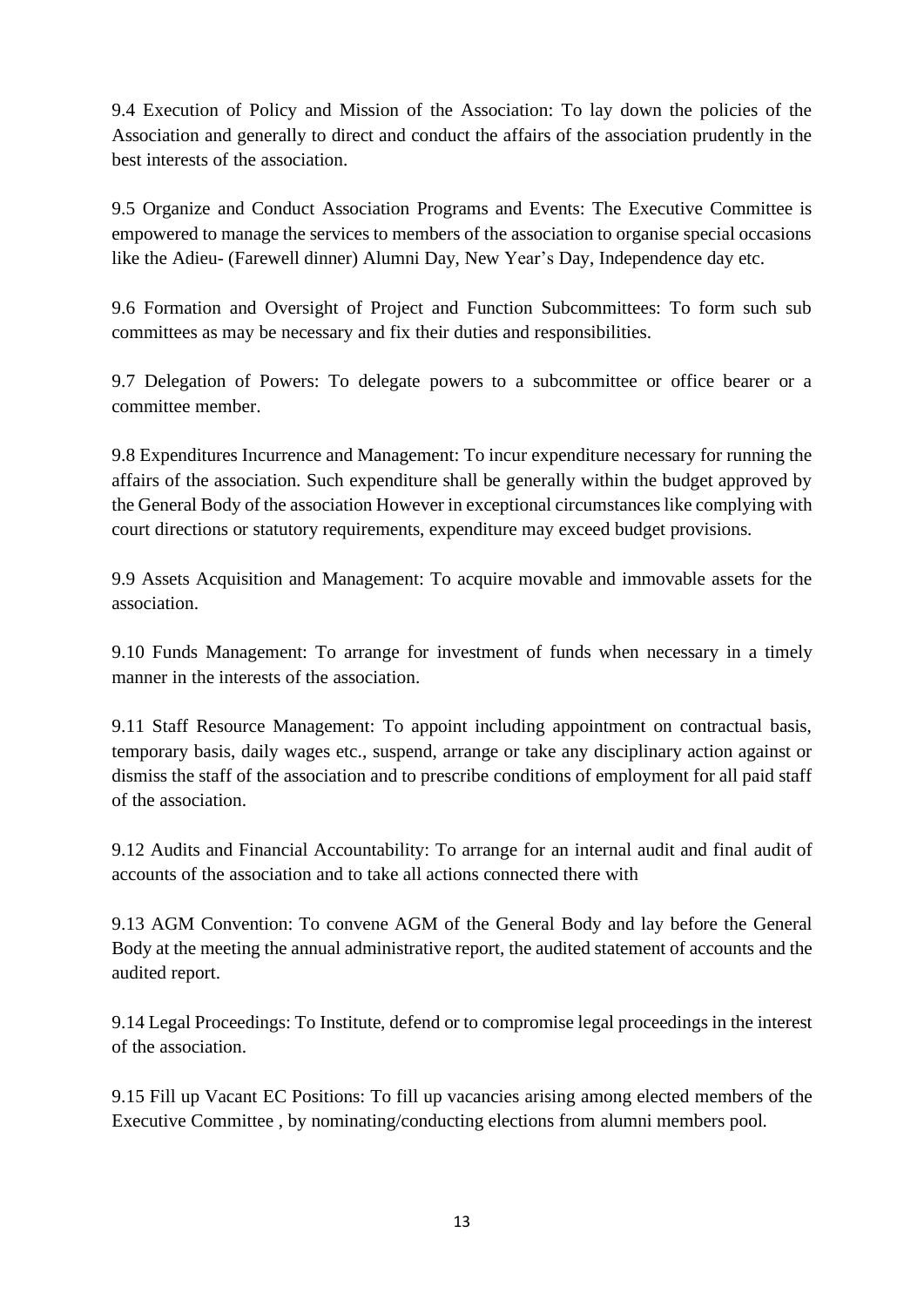9.4 Execution of Policy and Mission of the Association: To lay down the policies of the Association and generally to direct and conduct the affairs of the association prudently in the best interests of the association.

9.5 Organize and Conduct Association Programs and Events: The Executive Committee is empowered to manage the services to members of the association to organise special occasions like the Adieu- (Farewell dinner) Alumni Day, New Year's Day, Independence day etc.

9.6 Formation and Oversight of Project and Function Subcommittees: To form such sub committees as may be necessary and fix their duties and responsibilities.

9.7 Delegation of Powers: To delegate powers to a subcommittee or office bearer or a committee member.

9.8 Expenditures Incurrence and Management: To incur expenditure necessary for running the affairs of the association. Such expenditure shall be generally within the budget approved by the General Body of the association However in exceptional circumstances like complying with court directions or statutory requirements, expenditure may exceed budget provisions.

9.9 Assets Acquisition and Management: To acquire movable and immovable assets for the association.

9.10 Funds Management: To arrange for investment of funds when necessary in a timely manner in the interests of the association.

9.11 Staff Resource Management: To appoint including appointment on contractual basis, temporary basis, daily wages etc., suspend, arrange or take any disciplinary action against or dismiss the staff of the association and to prescribe conditions of employment for all paid staff of the association.

9.12 Audits and Financial Accountability: To arrange for an internal audit and final audit of accounts of the association and to take all actions connected there with

9.13 AGM Convention: To convene AGM of the General Body and lay before the General Body at the meeting the annual administrative report, the audited statement of accounts and the audited report.

9.14 Legal Proceedings: To Institute, defend or to compromise legal proceedings in the interest of the association.

9.15 Fill up Vacant EC Positions: To fill up vacancies arising among elected members of the Executive Committee , by nominating/conducting elections from alumni members pool.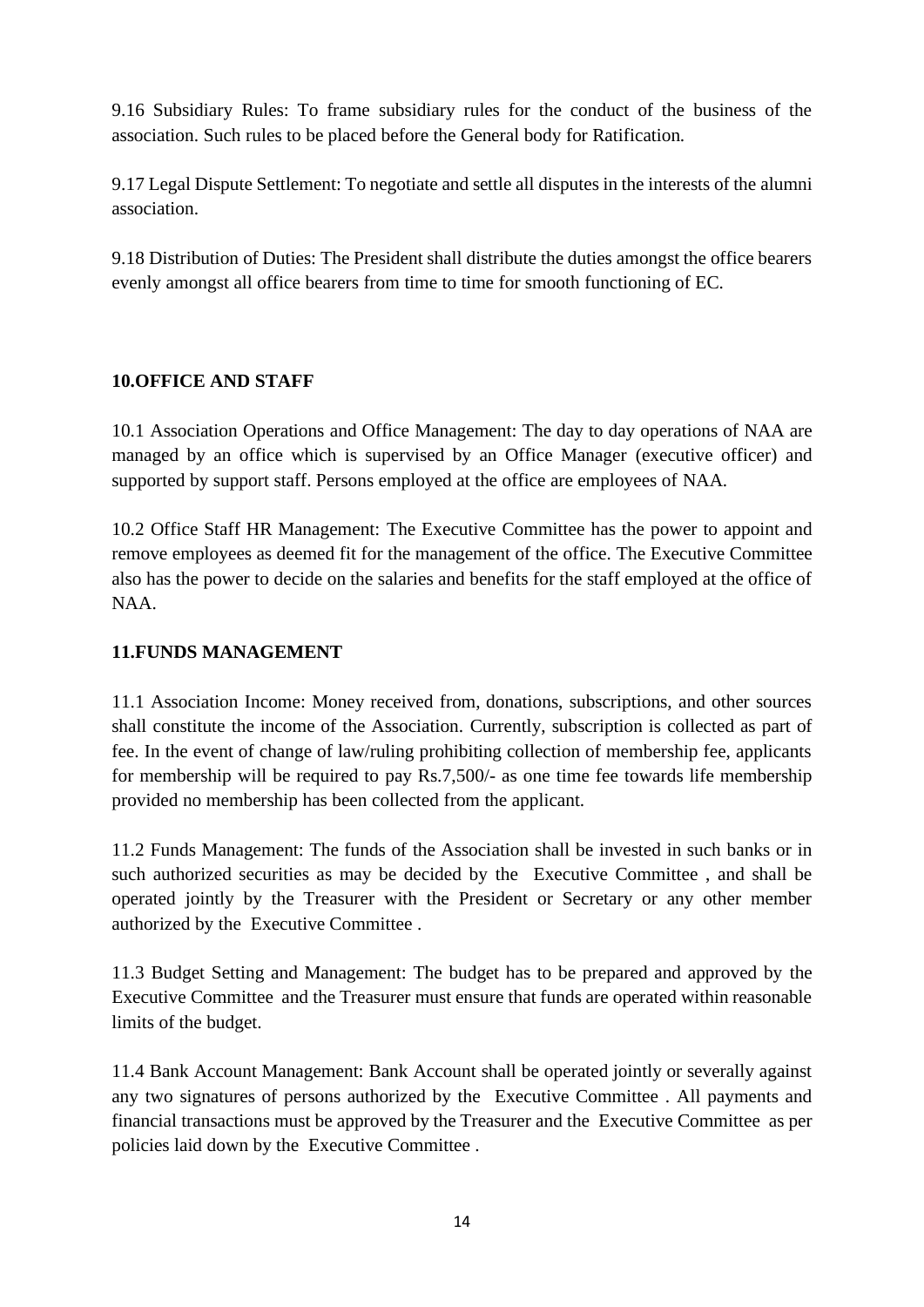9.16 Subsidiary Rules: To frame subsidiary rules for the conduct of the business of the association. Such rules to be placed before the General body for Ratification.

9.17 Legal Dispute Settlement: To negotiate and settle all disputes in the interests of the alumni association.

9.18 Distribution of Duties: The President shall distribute the duties amongst the office bearers evenly amongst all office bearers from time to time for smooth functioning of EC.

#### **10.OFFICE AND STAFF**

10.1 Association Operations and Office Management: The day to day operations of NAA are managed by an office which is supervised by an Office Manager (executive officer) and supported by support staff. Persons employed at the office are employees of NAA.

10.2 Office Staff HR Management: The Executive Committee has the power to appoint and remove employees as deemed fit for the management of the office. The Executive Committee also has the power to decide on the salaries and benefits for the staff employed at the office of NAA.

#### **11.FUNDS MANAGEMENT**

11.1 Association Income: Money received from, donations, subscriptions, and other sources shall constitute the income of the Association. Currently, subscription is collected as part of fee. In the event of change of law/ruling prohibiting collection of membership fee, applicants for membership will be required to pay Rs.7,500/- as one time fee towards life membership provided no membership has been collected from the applicant.

11.2 Funds Management: The funds of the Association shall be invested in such banks or in such authorized securities as may be decided by the Executive Committee , and shall be operated jointly by the Treasurer with the President or Secretary or any other member authorized by the Executive Committee .

11.3 Budget Setting and Management: The budget has to be prepared and approved by the Executive Committee and the Treasurer must ensure that funds are operated within reasonable limits of the budget.

11.4 Bank Account Management: Bank Account shall be operated jointly or severally against any two signatures of persons authorized by the Executive Committee . All payments and financial transactions must be approved by the Treasurer and the Executive Committee as per policies laid down by the Executive Committee .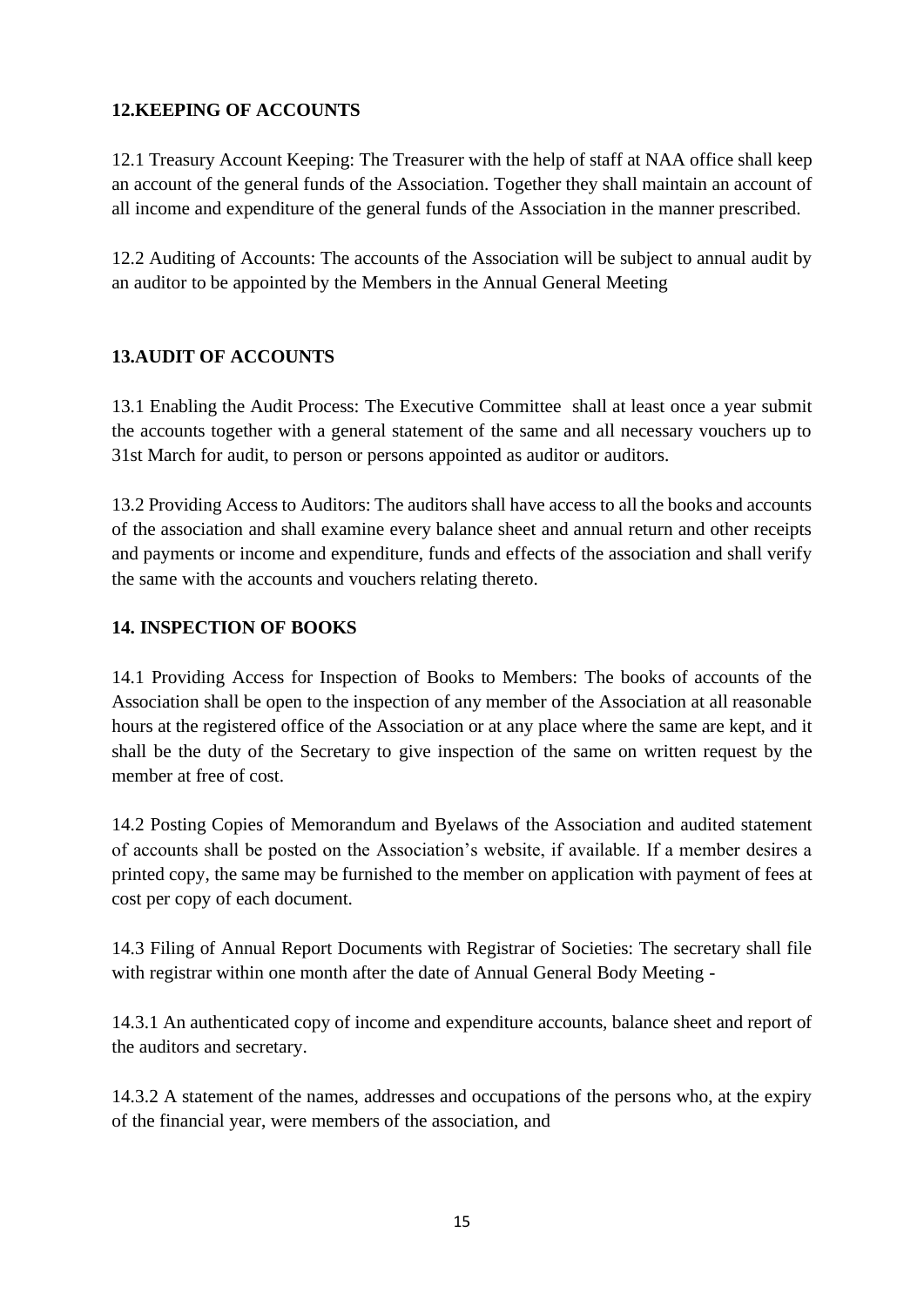## **12.KEEPING OF ACCOUNTS**

12.1 Treasury Account Keeping: The Treasurer with the help of staff at NAA office shall keep an account of the general funds of the Association. Together they shall maintain an account of all income and expenditure of the general funds of the Association in the manner prescribed.

12.2 Auditing of Accounts: The accounts of the Association will be subject to annual audit by an auditor to be appointed by the Members in the Annual General Meeting

## **13.AUDIT OF ACCOUNTS**

13.1 Enabling the Audit Process: The Executive Committee shall at least once a year submit the accounts together with a general statement of the same and all necessary vouchers up to 31st March for audit, to person or persons appointed as auditor or auditors.

13.2 Providing Access to Auditors: The auditors shall have access to all the books and accounts of the association and shall examine every balance sheet and annual return and other receipts and payments or income and expenditure, funds and effects of the association and shall verify the same with the accounts and vouchers relating thereto.

## **14. INSPECTION OF BOOKS**

14.1 Providing Access for Inspection of Books to Members: The books of accounts of the Association shall be open to the inspection of any member of the Association at all reasonable hours at the registered office of the Association or at any place where the same are kept, and it shall be the duty of the Secretary to give inspection of the same on written request by the member at free of cost.

14.2 Posting Copies of Memorandum and Byelaws of the Association and audited statement of accounts shall be posted on the Association's website, if available. If a member desires a printed copy, the same may be furnished to the member on application with payment of fees at cost per copy of each document.

14.3 Filing of Annual Report Documents with Registrar of Societies: The secretary shall file with registrar within one month after the date of Annual General Body Meeting -

14.3.1 An authenticated copy of income and expenditure accounts, balance sheet and report of the auditors and secretary.

14.3.2 A statement of the names, addresses and occupations of the persons who, at the expiry of the financial year, were members of the association, and